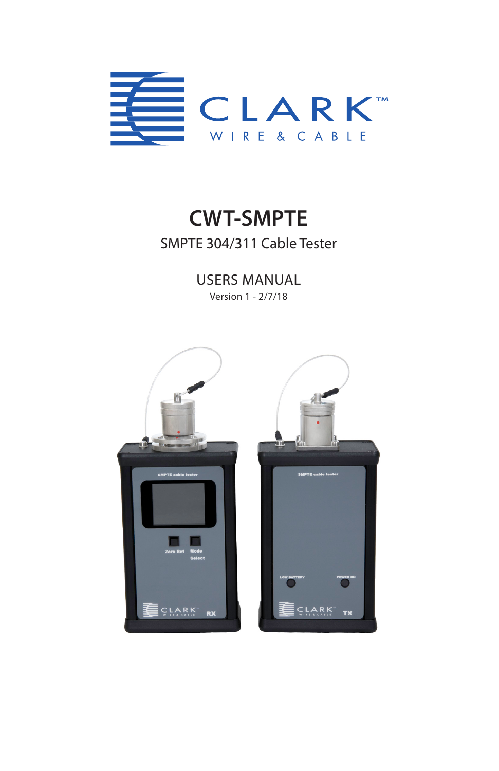

# **CWT-SMPTE** SMPTE 304/311 Cable Tester

USERS MANUAL

Version 1 - 2/7/18

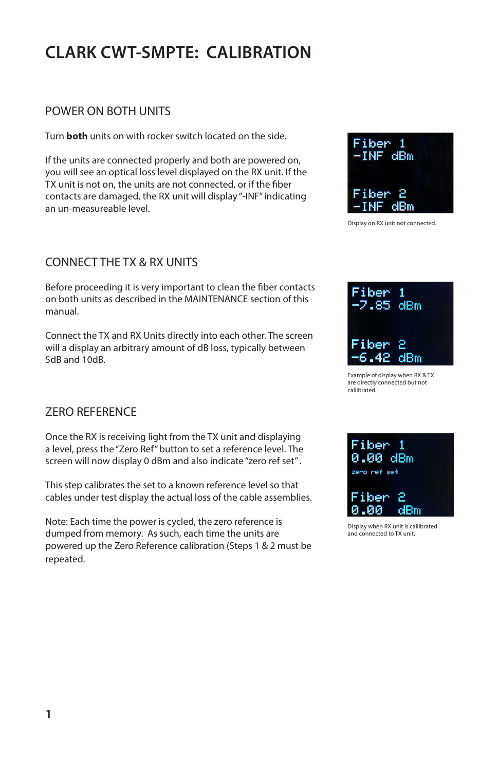## **CLARK CWT-SMPTE: CALIBRATION**

## POWER ON BOTH UNITS

Turn **both** units on with rocker switch located on the side.

If the units are connected properly and both are powered on, you will see an optical loss level displayed on the RX unit. If the TX unit is not on, the units are not connected, or if the fiber contacts are damaged, the RX unit will display "-INF" indicating an un-measureable level.

## CONNECT THE TX & RX UNITS

Before proceeding it is very important to clean the fiber contacts on both units as described in the MAINTENANCE section of this manual.

Connect the TX and RX Units directly into each other. The screen will a display an arbitrary amount of dB loss, typically between 5dB and 10dB.

## ZERO REFERENCE

Once the RX is receiving light from the TX unit and displaying a level, press the "Zero Ref" button to set a reference level. The screen will now display 0 dBm and also indicate "zero ref set" .

This step calibrates the set to a known reference level so that cables under test display the actual loss of the cable assemblies.

Note: Each time the power is cycled, the zero reference is dumped from memory. As such, each time the units are powered up the Zero Reference calibration (Steps 1 & 2 must be repeated.





Example of display when RX & TX are directly connected but not callibrated.



Display when RX unit is callibrated and connected to TX unit.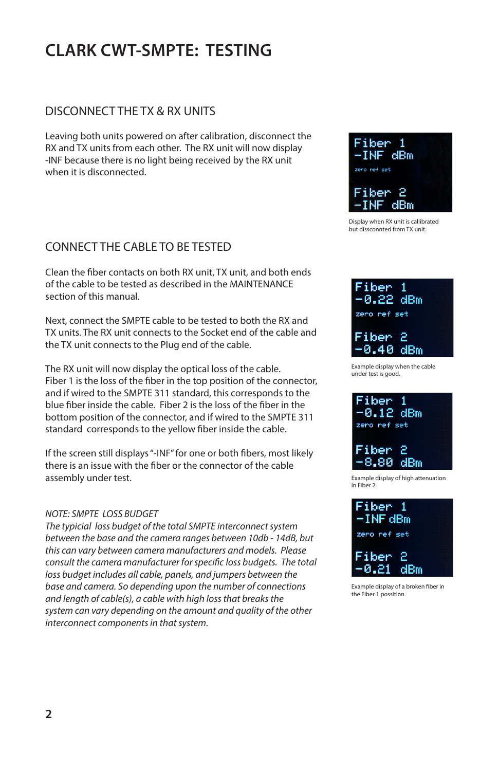## **CLARK CWT-SMPTE: TESTING**

## DISCONNECT THE TX & RX UNITS

Leaving both units powered on after calibration, disconnect the RX and TX units from each other. The RX unit will now display -INF because there is no light being received by the RX unit when it is disconnected.

## CONNECT THE CABLE TO BE TESTED

Clean the fiber contacts on both RX unit, TX unit, and both ends of the cable to be tested as described in the MAINTENANCE section of this manual.

Next, connect the SMPTE cable to be tested to both the RX and TX units. The RX unit connects to the Socket end of the cable and the TX unit connects to the Plug end of the cable.

The RX unit will now display the optical loss of the cable. Fiber 1 is the loss of the fiber in the top position of the connector, and if wired to the SMPTE 311 standard, this corresponds to the blue fiber inside the cable. Fiber 2 is the loss of the fiber in the bottom position of the connector, and if wired to the SMPTE 311 standard corresponds to the yellow fiber inside the cable.

If the screen still displays "-INF" for one or both fibers, most likely there is an issue with the fiber or the connector of the cable assembly under test.

#### *NOTE: SMPTE LOSS BUDGET*

*The typicial loss budget of the total SMPTE interconnect system between the base and the camera ranges between 10db - 14dB, but this can vary between camera manufacturers and models. Please consult the camera manufacturer for specific loss budgets. The total loss budget includes all cable, panels, and jumpers between the base and camera. So depending upon the number of connections and length of cable(s), a cable with high loss that breaks the system can vary depending on the amount and quality of the other interconnect components in that system.*



Display when RX unit is callibrated but dissconnted from TX unit.



under test is good.





Example display of a broken fiber in the Fiber 1 possition.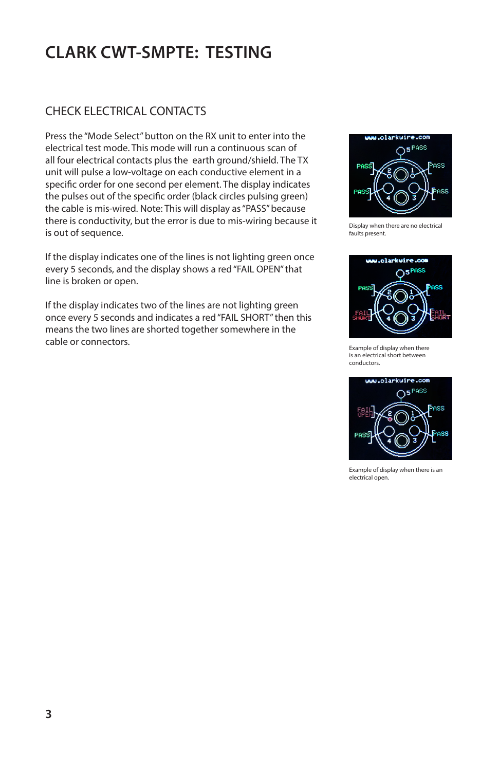# **CLARK CWT-SMPTE: TESTING**

## CHECK ELECTRICAL CONTACTS

Press the "Mode Select" button on the RX unit to enter into the electrical test mode. This mode will run a continuous scan of all four electrical contacts plus the earth ground/shield. The TX unit will pulse a low-voltage on each conductive element in a specific order for one second per element. The display indicates the pulses out of the specific order (black circles pulsing green) the cable is mis-wired. Note: This will display as "PASS" because there is conductivity, but the error is due to mis-wiring because it is out of sequence.

If the display indicates one of the lines is not lighting green once every 5 seconds, and the display shows a red "FAIL OPEN" that line is broken or open.

If the display indicates two of the lines are not lighting green once every 5 seconds and indicates a red "FAIL SHORT" then this means the two lines are shorted together somewhere in the cable or connectors.



Display when there are no electrical faults present.



Example of display when there is an electrical short between conductors.



Example of display when there is an electrical open.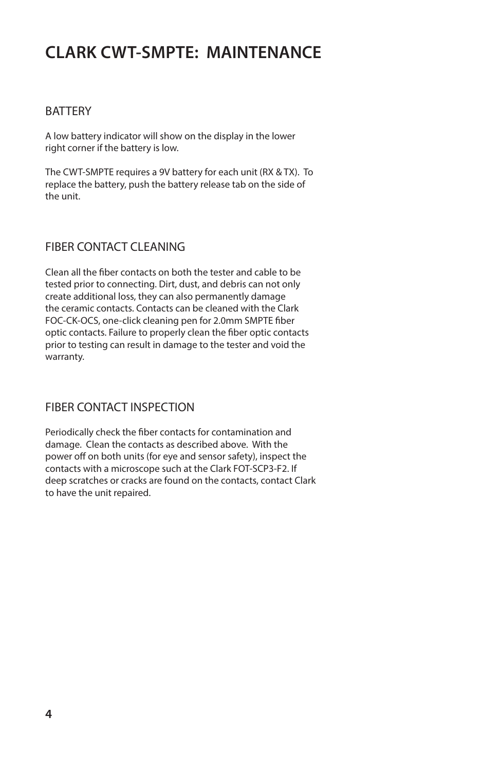## **CLARK CWT-SMPTE: MAINTENANCE**

### BATTERY

A low battery indicator will show on the display in the lower right corner if the battery is low.

The CWT-SMPTE requires a 9V battery for each unit (RX & TX). To replace the battery, push the battery release tab on the side of the unit.

## FIBER CONTACT CLEANING

Clean all the fiber contacts on both the tester and cable to be tested prior to connecting. Dirt, dust, and debris can not only create additional loss, they can also permanently damage the ceramic contacts. Contacts can be cleaned with the Clark FOC-CK-OCS, one-click cleaning pen for 2.0mm SMPTE fiber optic contacts. Failure to properly clean the fiber optic contacts prior to testing can result in damage to the tester and void the warranty.

## FIBER CONTACT INSPECTION

Periodically check the fiber contacts for contamination and damage. Clean the contacts as described above. With the power off on both units (for eye and sensor safety), inspect the contacts with a microscope such at the Clark FOT-SCP3-F2. If deep scratches or cracks are found on the contacts, contact Clark to have the unit repaired.